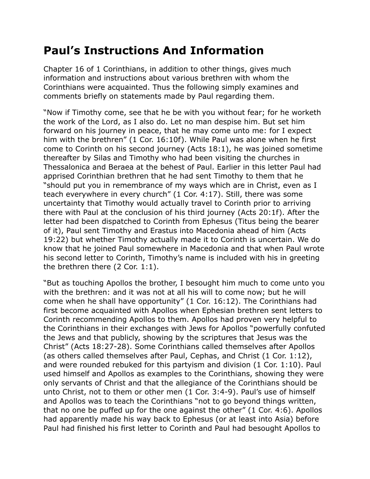## **Paul's Instructions And Information**

Chapter 16 of 1 Corinthians, in addition to other things, gives much information and instructions about various brethren with whom the Corinthians were acquainted. Thus the following simply examines and comments briefly on statements made by Paul regarding them.

"Now if Timothy come, see that he be with you without fear; for he worketh the work of the Lord, as I also do. Let no man despise him. But set him forward on his journey in peace, that he may come unto me: for I expect him with the brethren" (1 Cor. 16:10f). While Paul was alone when he first come to Corinth on his second journey (Acts 18:1), he was joined sometime thereafter by Silas and Timothy who had been visiting the churches in Thessalonica and Beraea at the behest of Paul. Earlier in this letter Paul had apprised Corinthian brethren that he had sent Timothy to them that he "should put you in remembrance of my ways which are in Christ, even as I teach everywhere in every church" (1 Cor. 4:17). Still, there was some uncertainty that Timothy would actually travel to Corinth prior to arriving there with Paul at the conclusion of his third journey (Acts 20:1f). After the letter had been dispatched to Corinth from Ephesus (Titus being the bearer of it), Paul sent Timothy and Erastus into Macedonia ahead of him (Acts 19:22) but whether Timothy actually made it to Corinth is uncertain. We do know that he joined Paul somewhere in Macedonia and that when Paul wrote his second letter to Corinth, Timothy's name is included with his in greeting the brethren there (2 Cor. 1:1).

"But as touching Apollos the brother, I besought him much to come unto you with the brethren: and it was not at all his will to come now; but he will come when he shall have opportunity" (1 Cor. 16:12). The Corinthians had first become acquainted with Apollos when Ephesian brethren sent letters to Corinth recommending Apollos to them. Apollos had proven very helpful to the Corinthians in their exchanges with Jews for Apollos "powerfully confuted the Jews and that publicly, showing by the scriptures that Jesus was the Christ" (Acts 18:27-28). Some Corinthians called themselves after Apollos (as others called themselves after Paul, Cephas, and Christ (1 Cor. 1:12), and were rounded rebuked for this partyism and division (1 Cor. 1:10). Paul used himself and Apollos as examples to the Corinthians, showing they were only servants of Christ and that the allegiance of the Corinthians should be unto Christ, not to them or other men (1 Cor. 3:4-9). Paul's use of himself and Apollos was to teach the Corinthians "not to go beyond things written, that no one be puffed up for the one against the other" (1 Cor. 4:6). Apollos had apparently made his way back to Ephesus (or at least into Asia) before Paul had finished his first letter to Corinth and Paul had besought Apollos to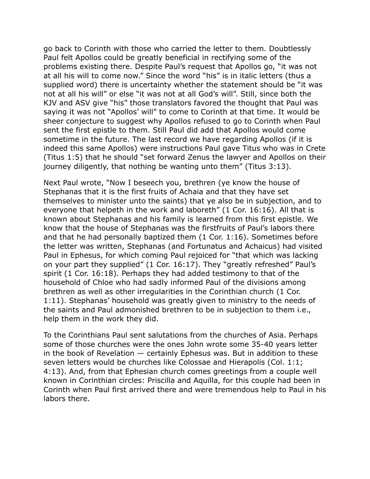go back to Corinth with those who carried the letter to them. Doubtlessly Paul felt Apollos could be greatly beneficial in rectifying some of the problems existing there. Despite Paul's request that Apollos go, "it was not at all his will to come now." Since the word "his" is in italic letters (thus a supplied word) there is uncertainty whether the statement should be "it was not at all his will" or else "it was not at all God's will". Still, since both the KJV and ASV give "his" those translators favored the thought that Paul was saying it was not "Apollos' will" to come to Corinth at that time. It would be sheer conjecture to suggest why Apollos refused to go to Corinth when Paul sent the first epistle to them. Still Paul did add that Apollos would come sometime in the future. The last record we have regarding Apollos (if it is indeed this same Apollos) were instructions Paul gave Titus who was in Crete (Titus 1:5) that he should "set forward Zenus the lawyer and Apollos on their journey diligently, that nothing be wanting unto them" (Titus 3:13).

Next Paul wrote, "Now I beseech you, brethren (ye know the house of Stephanas that it is the first fruits of Achaia and that they have set themselves to minister unto the saints) that ye also be in subjection, and to everyone that helpeth in the work and laboreth" (1 Cor. 16:16). All that is known about Stephanas and his family is learned from this first epistle. We know that the house of Stephanas was the firstfruits of Paul's labors there and that he had personally baptized them (1 Cor. 1:16). Sometimes before the letter was written, Stephanas (and Fortunatus and Achaicus) had visited Paul in Ephesus, for which coming Paul rejoiced for "that which was lacking on your part they supplied" (1 Cor. 16:17). They "greatly refreshed" Paul's spirit (1 Cor. 16:18). Perhaps they had added testimony to that of the household of Chloe who had sadly informed Paul of the divisions among brethren as well as other irregularities in the Corinthian church (1 Cor. 1:11). Stephanas' household was greatly given to ministry to the needs of the saints and Paul admonished brethren to be in subjection to them i.e., help them in the work they did.

To the Corinthians Paul sent salutations from the churches of Asia. Perhaps some of those churches were the ones John wrote some 35-40 years letter in the book of Revelation — certainly Ephesus was. But in addition to these seven letters would be churches like Colossae and Hierapolis (Col. 1:1; 4:13). And, from that Ephesian church comes greetings from a couple well known in Corinthian circles: Priscilla and Aquilla, for this couple had been in Corinth when Paul first arrived there and were tremendous help to Paul in his labors there.